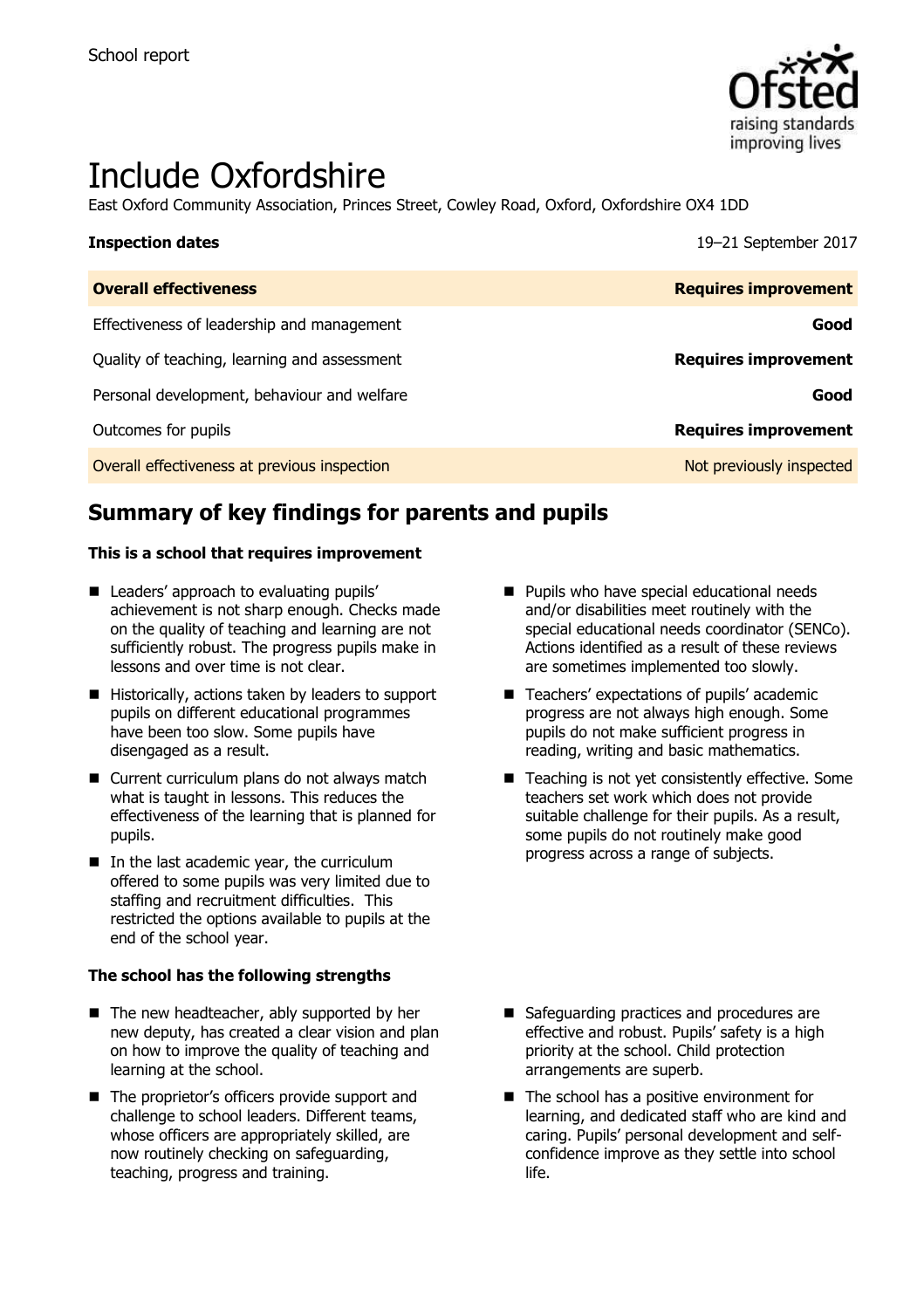

# Include Oxfordshire

East Oxford Community Association, Princes Street, Cowley Road, Oxford, Oxfordshire OX4 1DD

| <b>Inspection dates</b>                      | 19-21 September 2017        |
|----------------------------------------------|-----------------------------|
| <b>Overall effectiveness</b>                 | <b>Requires improvement</b> |
| Effectiveness of leadership and management   | Good                        |
| Quality of teaching, learning and assessment | <b>Requires improvement</b> |
| Personal development, behaviour and welfare  | Good                        |
| Outcomes for pupils                          | <b>Requires improvement</b> |
| Overall effectiveness at previous inspection | Not previously inspected    |

# **Summary of key findings for parents and pupils**

### **This is a school that requires improvement**

- Leaders' approach to evaluating pupils' achievement is not sharp enough. Checks made on the quality of teaching and learning are not sufficiently robust. The progress pupils make in lessons and over time is not clear.
- $\blacksquare$  Historically, actions taken by leaders to support pupils on different educational programmes have been too slow. Some pupils have disengaged as a result.
- Current curriculum plans do not always match what is taught in lessons. This reduces the effectiveness of the learning that is planned for pupils.
- $\blacksquare$  In the last academic year, the curriculum offered to some pupils was very limited due to staffing and recruitment difficulties. This restricted the options available to pupils at the end of the school year.

### **The school has the following strengths**

- The new headteacher, ably supported by her new deputy, has created a clear vision and plan on how to improve the quality of teaching and learning at the school.
- The proprietor's officers provide support and challenge to school leaders. Different teams, whose officers are appropriately skilled, are now routinely checking on safeguarding, teaching, progress and training.
- **Pupils who have special educational needs** and/or disabilities meet routinely with the special educational needs coordinator (SENCo). Actions identified as a result of these reviews are sometimes implemented too slowly.
- Teachers' expectations of pupils' academic progress are not always high enough. Some pupils do not make sufficient progress in reading, writing and basic mathematics.
- Teaching is not yet consistently effective. Some teachers set work which does not provide suitable challenge for their pupils. As a result, some pupils do not routinely make good progress across a range of subjects.

- Safeguarding practices and procedures are effective and robust. Pupils' safety is a high priority at the school. Child protection arrangements are superb.
- The school has a positive environment for learning, and dedicated staff who are kind and caring. Pupils' personal development and selfconfidence improve as they settle into school life.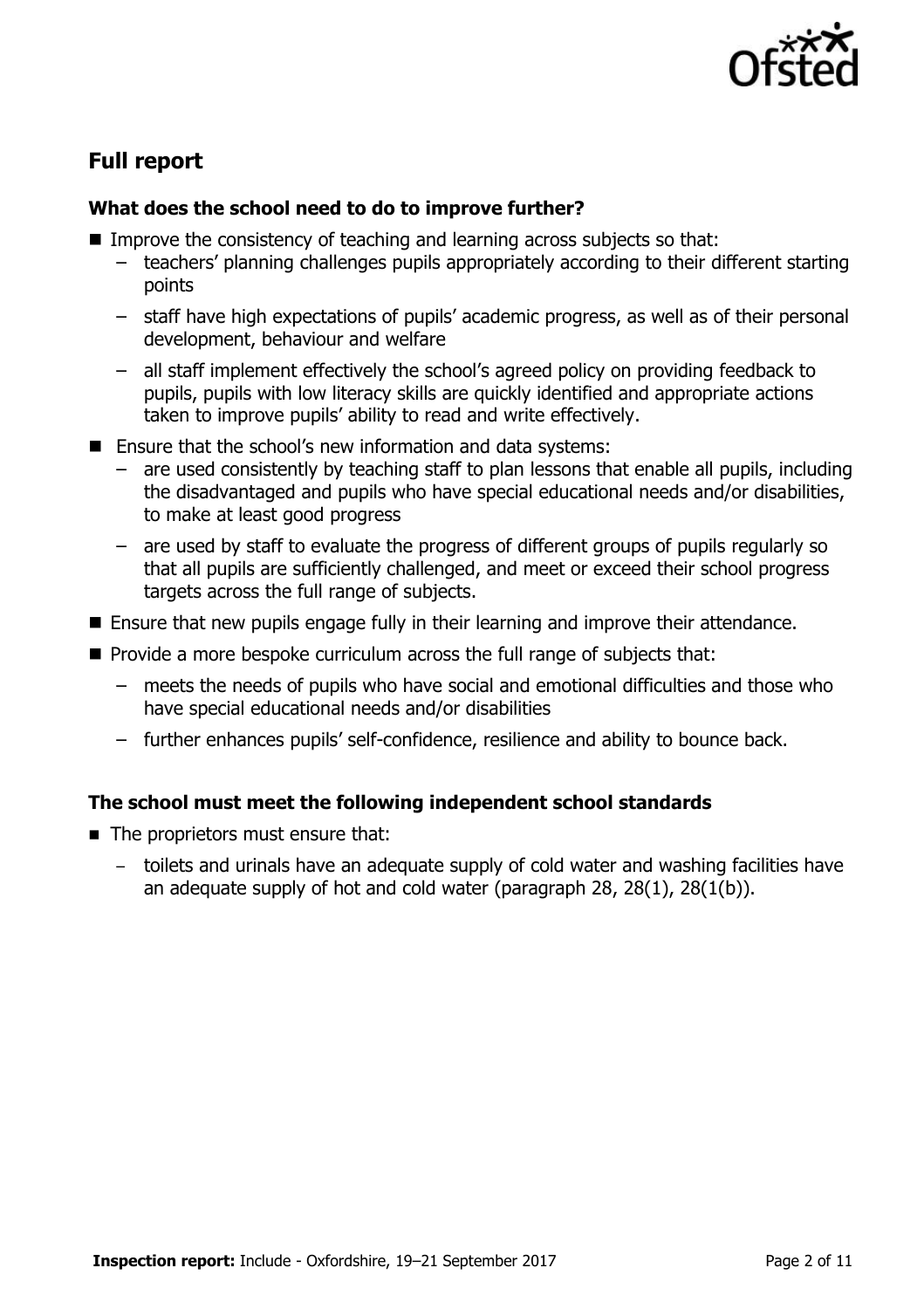

# **Full report**

# **What does the school need to do to improve further?**

- Improve the consistency of teaching and learning across subjects so that:
	- teachers' planning challenges pupils appropriately according to their different starting points
	- staff have high expectations of pupils' academic progress, as well as of their personal development, behaviour and welfare
	- all staff implement effectively the school's agreed policy on providing feedback to pupils, pupils with low literacy skills are quickly identified and appropriate actions taken to improve pupils' ability to read and write effectively.
- Ensure that the school's new information and data systems:
	- are used consistently by teaching staff to plan lessons that enable all pupils, including the disadvantaged and pupils who have special educational needs and/or disabilities, to make at least good progress
	- are used by staff to evaluate the progress of different groups of pupils regularly so that all pupils are sufficiently challenged, and meet or exceed their school progress targets across the full range of subjects.
- **Ensure that new pupils engage fully in their learning and improve their attendance.**
- **Provide a more bespoke curriculum across the full range of subjects that:** 
	- meets the needs of pupils who have social and emotional difficulties and those who have special educational needs and/or disabilities
	- further enhances pupils' self-confidence, resilience and ability to bounce back.

# **The school must meet the following independent school standards**

- The proprietors must ensure that:
	- toilets and urinals have an adequate supply of cold water and washing facilities have an adequate supply of hot and cold water (paragraph 28, 28(1), 28(1(b)).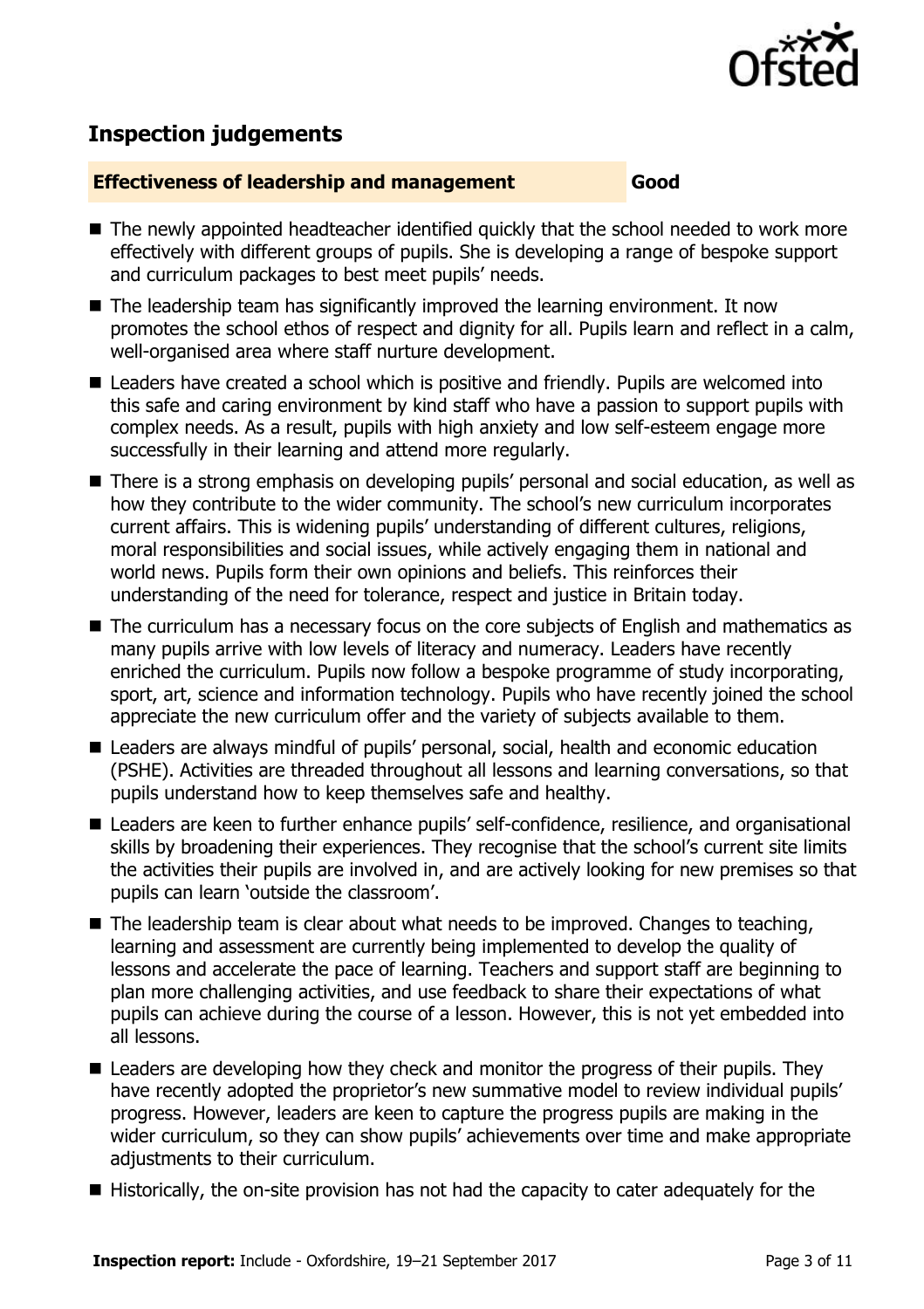

# **Inspection judgements**

### **Effectiveness of leadership and management Good**

- The newly appointed headteacher identified quickly that the school needed to work more effectively with different groups of pupils. She is developing a range of bespoke support and curriculum packages to best meet pupils' needs.
- $\blacksquare$  The leadership team has significantly improved the learning environment. It now promotes the school ethos of respect and dignity for all. Pupils learn and reflect in a calm, well-organised area where staff nurture development.
- Leaders have created a school which is positive and friendly. Pupils are welcomed into this safe and caring environment by kind staff who have a passion to support pupils with complex needs. As a result, pupils with high anxiety and low self-esteem engage more successfully in their learning and attend more regularly.
- There is a strong emphasis on developing pupils' personal and social education, as well as how they contribute to the wider community. The school's new curriculum incorporates current affairs. This is widening pupils' understanding of different cultures, religions, moral responsibilities and social issues, while actively engaging them in national and world news. Pupils form their own opinions and beliefs. This reinforces their understanding of the need for tolerance, respect and justice in Britain today.
- The curriculum has a necessary focus on the core subjects of English and mathematics as many pupils arrive with low levels of literacy and numeracy. Leaders have recently enriched the curriculum. Pupils now follow a bespoke programme of study incorporating, sport, art, science and information technology. Pupils who have recently joined the school appreciate the new curriculum offer and the variety of subjects available to them.
- Leaders are always mindful of pupils' personal, social, health and economic education (PSHE). Activities are threaded throughout all lessons and learning conversations, so that pupils understand how to keep themselves safe and healthy.
- Leaders are keen to further enhance pupils' self-confidence, resilience, and organisational skills by broadening their experiences. They recognise that the school's current site limits the activities their pupils are involved in, and are actively looking for new premises so that pupils can learn 'outside the classroom'.
- $\blacksquare$  The leadership team is clear about what needs to be improved. Changes to teaching, learning and assessment are currently being implemented to develop the quality of lessons and accelerate the pace of learning. Teachers and support staff are beginning to plan more challenging activities, and use feedback to share their expectations of what pupils can achieve during the course of a lesson. However, this is not yet embedded into all lessons.
- Leaders are developing how they check and monitor the progress of their pupils. They have recently adopted the proprietor's new summative model to review individual pupils' progress. However, leaders are keen to capture the progress pupils are making in the wider curriculum, so they can show pupils' achievements over time and make appropriate adjustments to their curriculum.
- Historically, the on-site provision has not had the capacity to cater adequately for the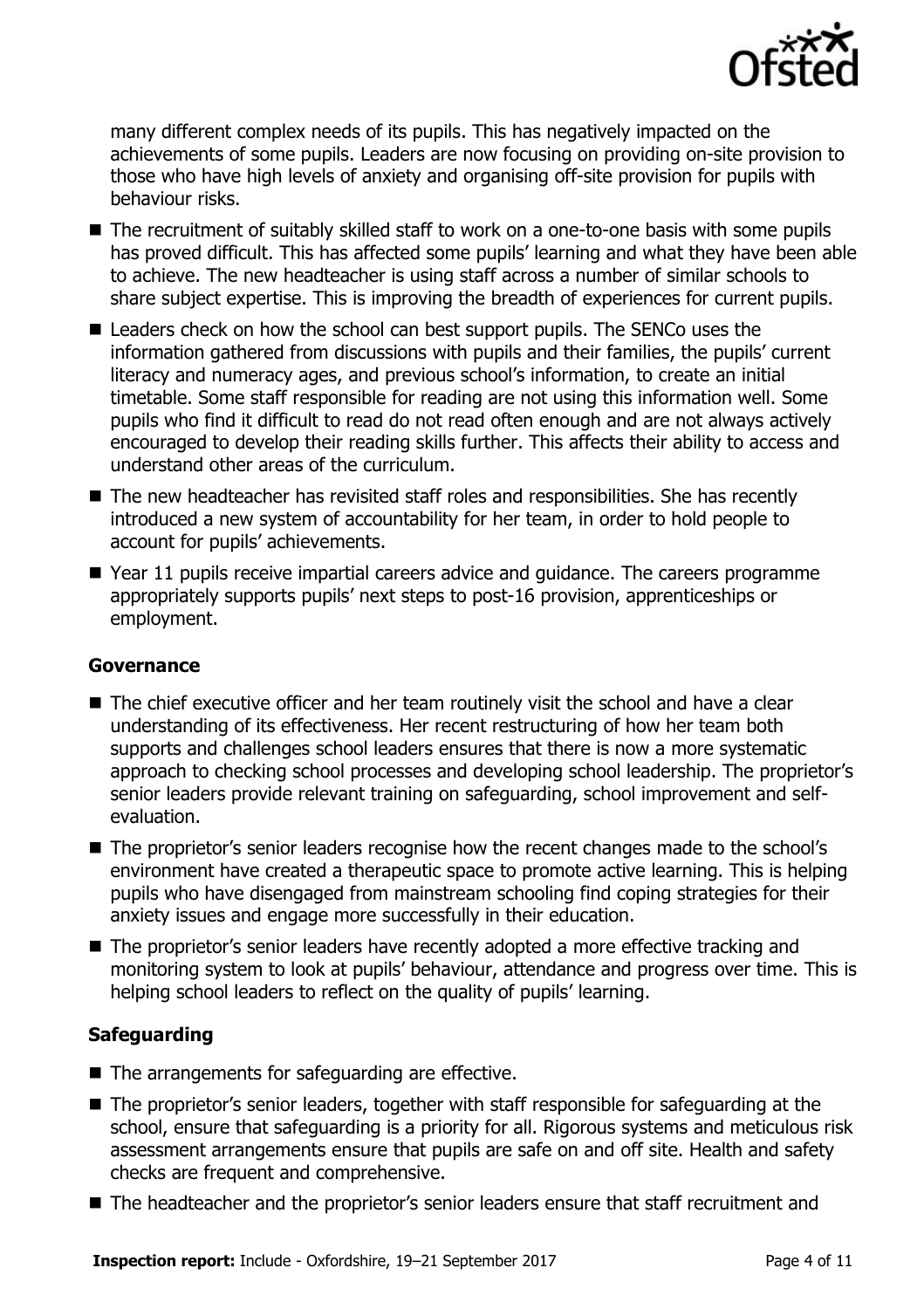

many different complex needs of its pupils. This has negatively impacted on the achievements of some pupils. Leaders are now focusing on providing on-site provision to those who have high levels of anxiety and organising off-site provision for pupils with behaviour risks.

- The recruitment of suitably skilled staff to work on a one-to-one basis with some pupils has proved difficult. This has affected some pupils' learning and what they have been able to achieve. The new headteacher is using staff across a number of similar schools to share subject expertise. This is improving the breadth of experiences for current pupils.
- Leaders check on how the school can best support pupils. The SENCo uses the information gathered from discussions with pupils and their families, the pupils' current literacy and numeracy ages, and previous school's information, to create an initial timetable. Some staff responsible for reading are not using this information well. Some pupils who find it difficult to read do not read often enough and are not always actively encouraged to develop their reading skills further. This affects their ability to access and understand other areas of the curriculum.
- The new headteacher has revisited staff roles and responsibilities. She has recently introduced a new system of accountability for her team, in order to hold people to account for pupils' achievements.
- Year 11 pupils receive impartial careers advice and quidance. The careers programme appropriately supports pupils' next steps to post-16 provision, apprenticeships or employment.

# **Governance**

- The chief executive officer and her team routinely visit the school and have a clear understanding of its effectiveness. Her recent restructuring of how her team both supports and challenges school leaders ensures that there is now a more systematic approach to checking school processes and developing school leadership. The proprietor's senior leaders provide relevant training on safeguarding, school improvement and selfevaluation.
- The proprietor's senior leaders recognise how the recent changes made to the school's environment have created a therapeutic space to promote active learning. This is helping pupils who have disengaged from mainstream schooling find coping strategies for their anxiety issues and engage more successfully in their education.
- The proprietor's senior leaders have recently adopted a more effective tracking and monitoring system to look at pupils' behaviour, attendance and progress over time. This is helping school leaders to reflect on the quality of pupils' learning.

# **Safeguarding**

- $\blacksquare$  The arrangements for safeguarding are effective.
- The proprietor's senior leaders, together with staff responsible for safeguarding at the school, ensure that safeguarding is a priority for all. Rigorous systems and meticulous risk assessment arrangements ensure that pupils are safe on and off site. Health and safety checks are frequent and comprehensive.
- The headteacher and the proprietor's senior leaders ensure that staff recruitment and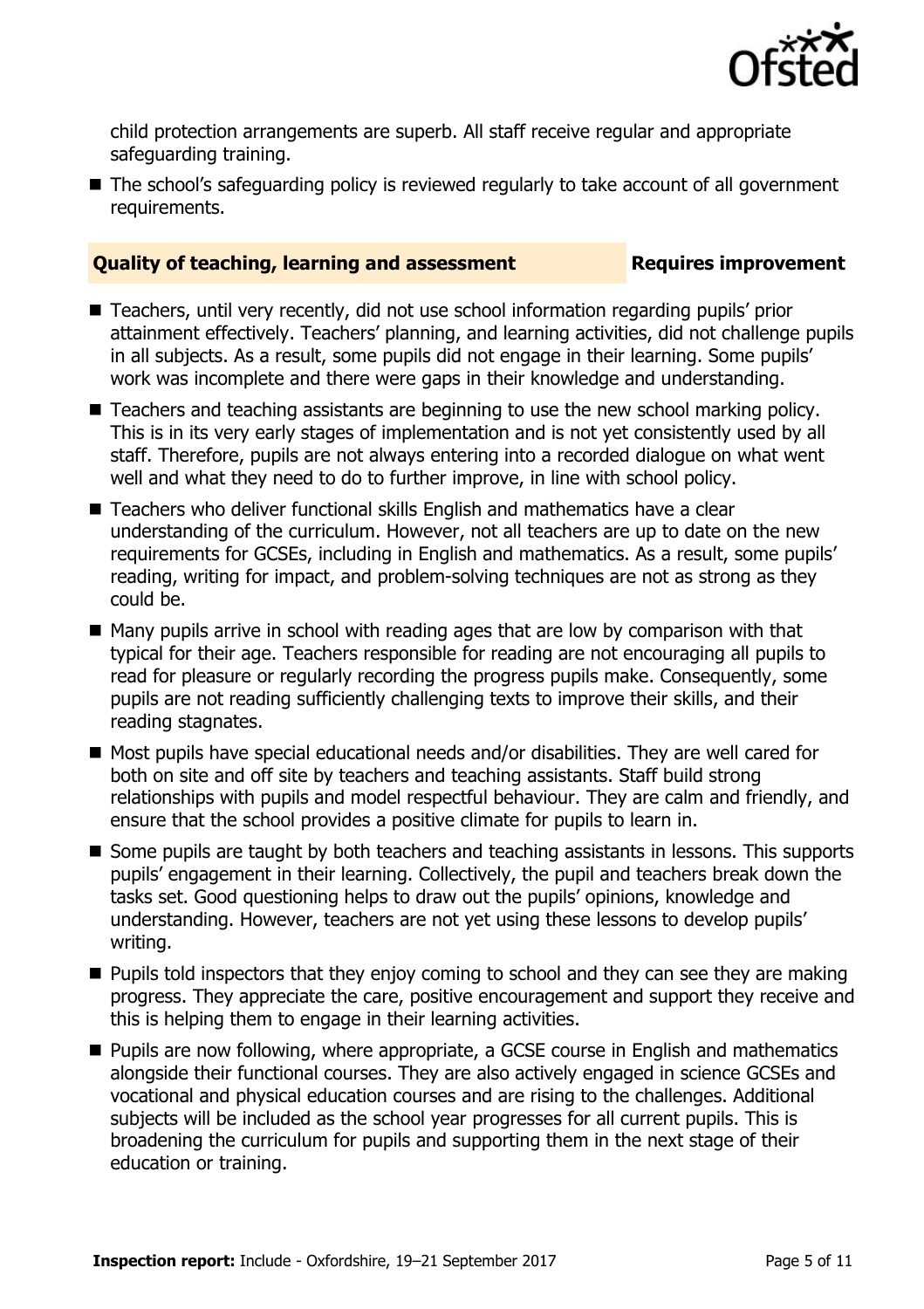

child protection arrangements are superb. All staff receive regular and appropriate safeguarding training.

■ The school's safeguarding policy is reviewed regularly to take account of all government requirements.

# **Quality of teaching, learning and assessment Fig. 2.1 Requires improvement**

- Teachers, until very recently, did not use school information regarding pupils' prior attainment effectively. Teachers' planning, and learning activities, did not challenge pupils in all subjects. As a result, some pupils did not engage in their learning. Some pupils' work was incomplete and there were gaps in their knowledge and understanding.
- Teachers and teaching assistants are beginning to use the new school marking policy. This is in its very early stages of implementation and is not yet consistently used by all staff. Therefore, pupils are not always entering into a recorded dialogue on what went well and what they need to do to further improve, in line with school policy.
- Teachers who deliver functional skills English and mathematics have a clear understanding of the curriculum. However, not all teachers are up to date on the new requirements for GCSEs, including in English and mathematics. As a result, some pupils' reading, writing for impact, and problem-solving techniques are not as strong as they could be.
- $\blacksquare$  Many pupils arrive in school with reading ages that are low by comparison with that typical for their age. Teachers responsible for reading are not encouraging all pupils to read for pleasure or regularly recording the progress pupils make. Consequently, some pupils are not reading sufficiently challenging texts to improve their skills, and their reading stagnates.
- Most pupils have special educational needs and/or disabilities. They are well cared for both on site and off site by teachers and teaching assistants. Staff build strong relationships with pupils and model respectful behaviour. They are calm and friendly, and ensure that the school provides a positive climate for pupils to learn in.
- Some pupils are taught by both teachers and teaching assistants in lessons. This supports pupils' engagement in their learning. Collectively, the pupil and teachers break down the tasks set. Good questioning helps to draw out the pupils' opinions, knowledge and understanding. However, teachers are not yet using these lessons to develop pupils' writing.
- **Pupils told inspectors that they enjoy coming to school and they can see they are making** progress. They appreciate the care, positive encouragement and support they receive and this is helping them to engage in their learning activities.
- **Pupils are now following, where appropriate, a GCSE course in English and mathematics** alongside their functional courses. They are also actively engaged in science GCSEs and vocational and physical education courses and are rising to the challenges. Additional subjects will be included as the school year progresses for all current pupils. This is broadening the curriculum for pupils and supporting them in the next stage of their education or training.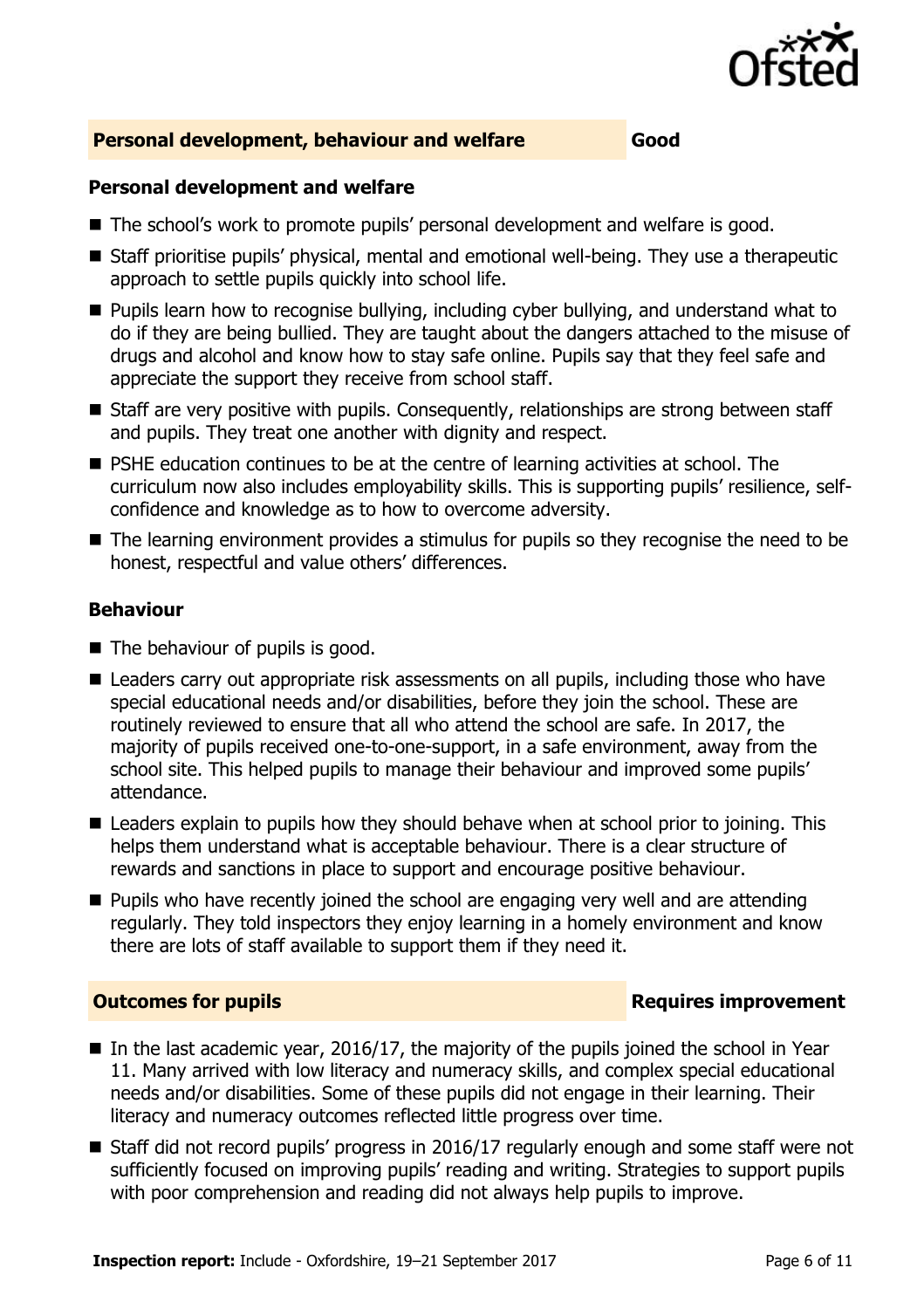

# **Personal development, behaviour and welfare Good**

# **Personal development and welfare**

- The school's work to promote pupils' personal development and welfare is good.
- Staff prioritise pupils' physical, mental and emotional well-being. They use a therapeutic approach to settle pupils quickly into school life.
- **Pupils learn how to recognise bullying, including cyber bullying, and understand what to** do if they are being bullied. They are taught about the dangers attached to the misuse of drugs and alcohol and know how to stay safe online. Pupils say that they feel safe and appreciate the support they receive from school staff.
- Staff are very positive with pupils. Consequently, relationships are strong between staff and pupils. They treat one another with dignity and respect.
- **PSHE education continues to be at the centre of learning activities at school. The** curriculum now also includes employability skills. This is supporting pupils' resilience, selfconfidence and knowledge as to how to overcome adversity.
- The learning environment provides a stimulus for pupils so they recognise the need to be honest, respectful and value others' differences.

# **Behaviour**

- The behaviour of pupils is good.
- Leaders carry out appropriate risk assessments on all pupils, including those who have special educational needs and/or disabilities, before they join the school. These are routinely reviewed to ensure that all who attend the school are safe. In 2017, the majority of pupils received one-to-one-support, in a safe environment, away from the school site. This helped pupils to manage their behaviour and improved some pupils' attendance.
- Leaders explain to pupils how they should behave when at school prior to joining. This helps them understand what is acceptable behaviour. There is a clear structure of rewards and sanctions in place to support and encourage positive behaviour.
- $\blacksquare$  Pupils who have recently joined the school are engaging very well and are attending regularly. They told inspectors they enjoy learning in a homely environment and know there are lots of staff available to support them if they need it.

# **Outcomes for pupils Requires improvement**

- In the last academic year, 2016/17, the majority of the pupils joined the school in Year 11. Many arrived with low literacy and numeracy skills, and complex special educational needs and/or disabilities. Some of these pupils did not engage in their learning. Their literacy and numeracy outcomes reflected little progress over time.
- Staff did not record pupils' progress in 2016/17 regularly enough and some staff were not sufficiently focused on improving pupils' reading and writing. Strategies to support pupils with poor comprehension and reading did not always help pupils to improve.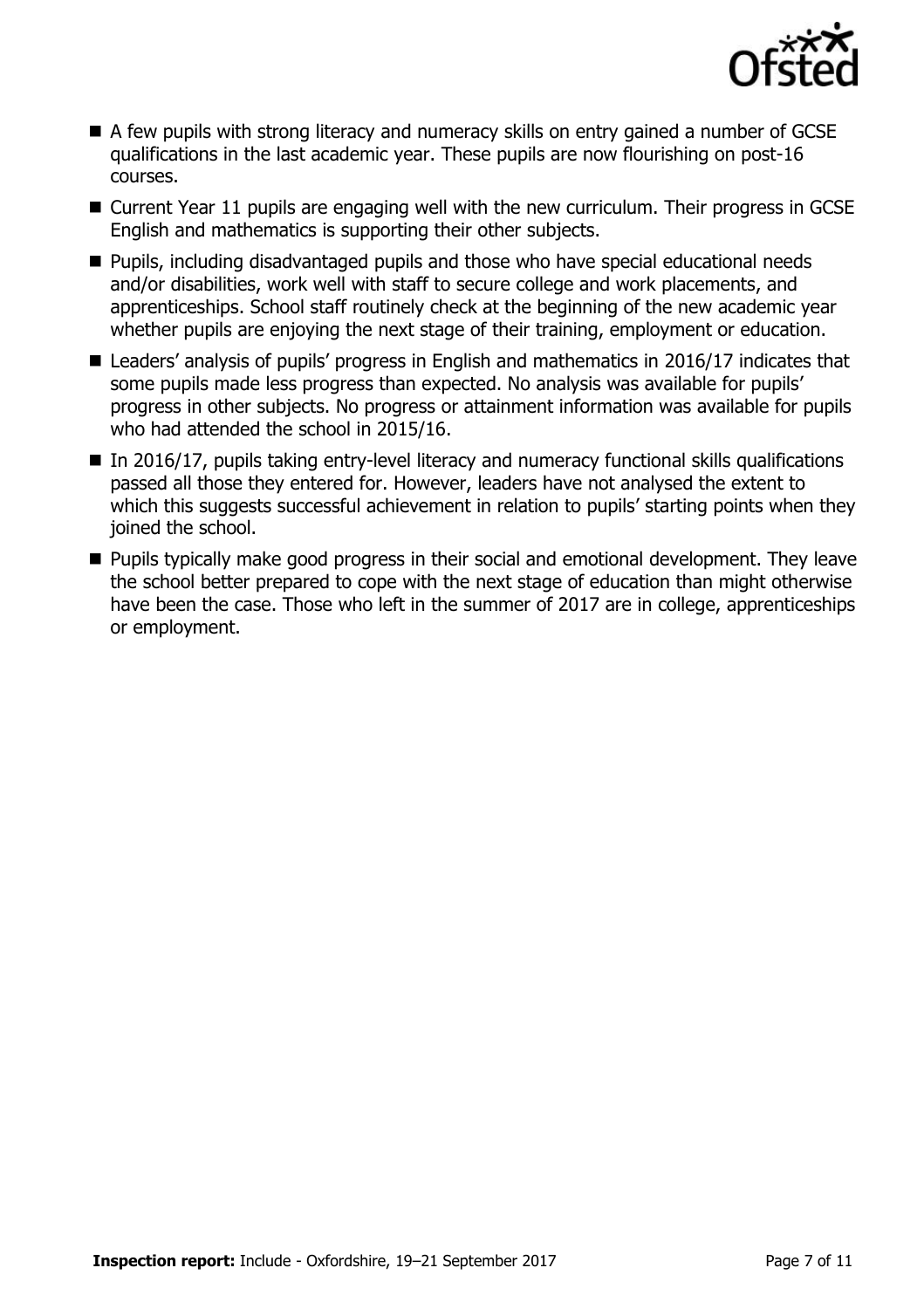

- A few pupils with strong literacy and numeracy skills on entry gained a number of GCSE qualifications in the last academic year. These pupils are now flourishing on post-16 courses.
- Current Year 11 pupils are engaging well with the new curriculum. Their progress in GCSE English and mathematics is supporting their other subjects.
- **Pupils, including disadvantaged pupils and those who have special educational needs** and/or disabilities, work well with staff to secure college and work placements, and apprenticeships. School staff routinely check at the beginning of the new academic year whether pupils are enjoying the next stage of their training, employment or education.
- Leaders' analysis of pupils' progress in English and mathematics in 2016/17 indicates that some pupils made less progress than expected. No analysis was available for pupils' progress in other subjects. No progress or attainment information was available for pupils who had attended the school in 2015/16.
- $\blacksquare$  In 2016/17, pupils taking entry-level literacy and numeracy functional skills qualifications passed all those they entered for. However, leaders have not analysed the extent to which this suggests successful achievement in relation to pupils' starting points when they joined the school.
- **Pupils typically make good progress in their social and emotional development. They leave** the school better prepared to cope with the next stage of education than might otherwise have been the case. Those who left in the summer of 2017 are in college, apprenticeships or employment.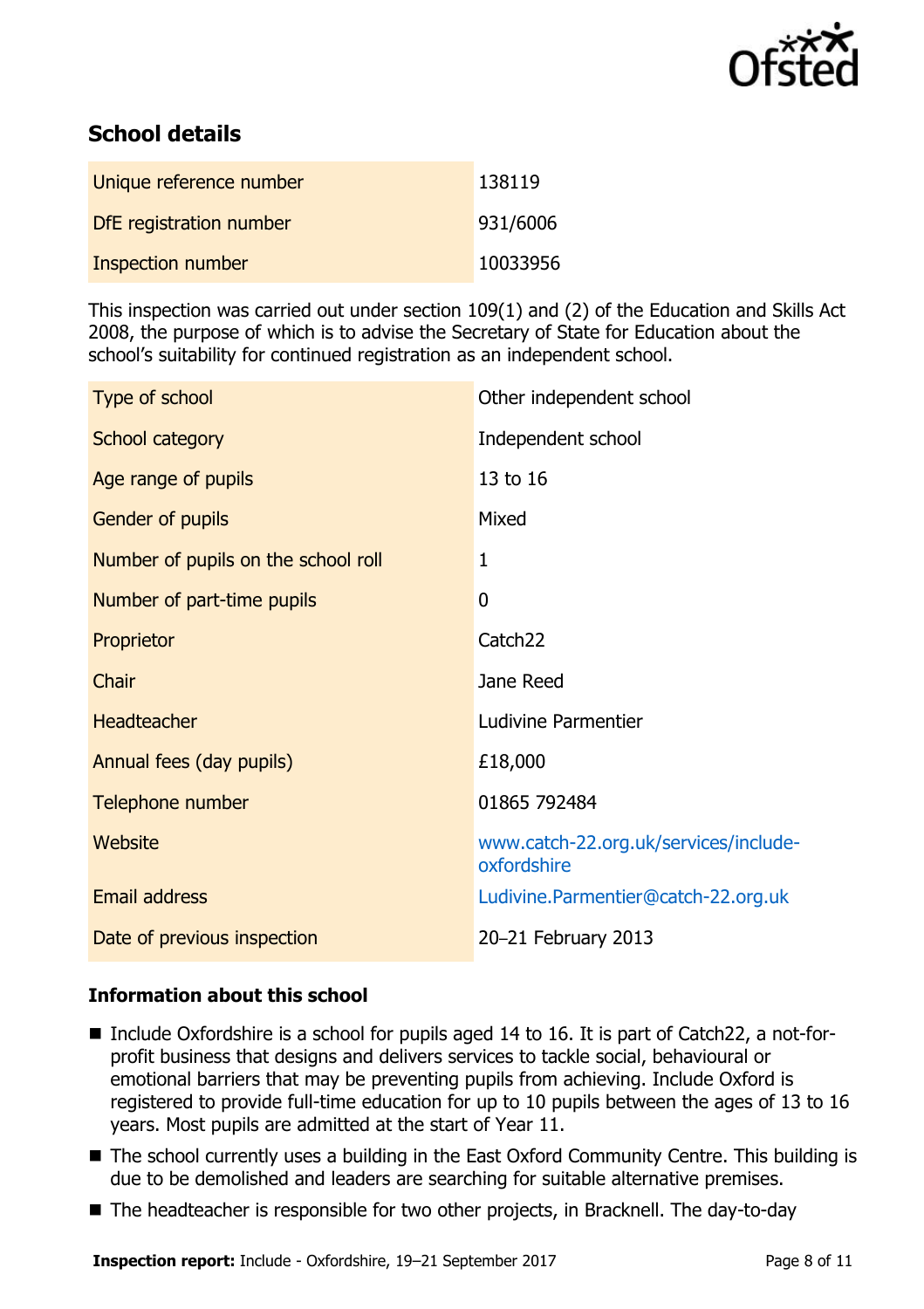

# **School details**

| Unique reference number | 138119   |
|-------------------------|----------|
| DfE registration number | 931/6006 |
| Inspection number       | 10033956 |

This inspection was carried out under section 109(1) and (2) of the Education and Skills Act 2008, the purpose of which is to advise the Secretary of State for Education about the school's suitability for continued registration as an independent school.

| Type of school                      | Other independent school                             |
|-------------------------------------|------------------------------------------------------|
| School category                     | Independent school                                   |
| Age range of pupils                 | 13 to 16                                             |
| Gender of pupils                    | Mixed                                                |
| Number of pupils on the school roll | $\mathbf{1}$                                         |
| Number of part-time pupils          | $\overline{0}$                                       |
| Proprietor                          | Catch <sub>22</sub>                                  |
| Chair                               | Jane Reed                                            |
| <b>Headteacher</b>                  | Ludivine Parmentier                                  |
| Annual fees (day pupils)            | £18,000                                              |
| Telephone number                    | 01865 792484                                         |
| Website                             | www.catch-22.org.uk/services/include-<br>oxfordshire |
| <b>Email address</b>                | Ludivine.Parmentier@catch-22.org.uk                  |
| Date of previous inspection         | 20-21 February 2013                                  |

# **Information about this school**

- Include Oxfordshire is a school for pupils aged 14 to 16. It is part of Catch22, a not-forprofit business that designs and delivers services to tackle social, behavioural or emotional barriers that may be preventing pupils from achieving. Include Oxford is registered to provide full-time education for up to 10 pupils between the ages of 13 to 16 years. Most pupils are admitted at the start of Year 11.
- The school currently uses a building in the East Oxford Community Centre. This building is due to be demolished and leaders are searching for suitable alternative premises.
- The headteacher is responsible for two other projects, in Bracknell. The day-to-day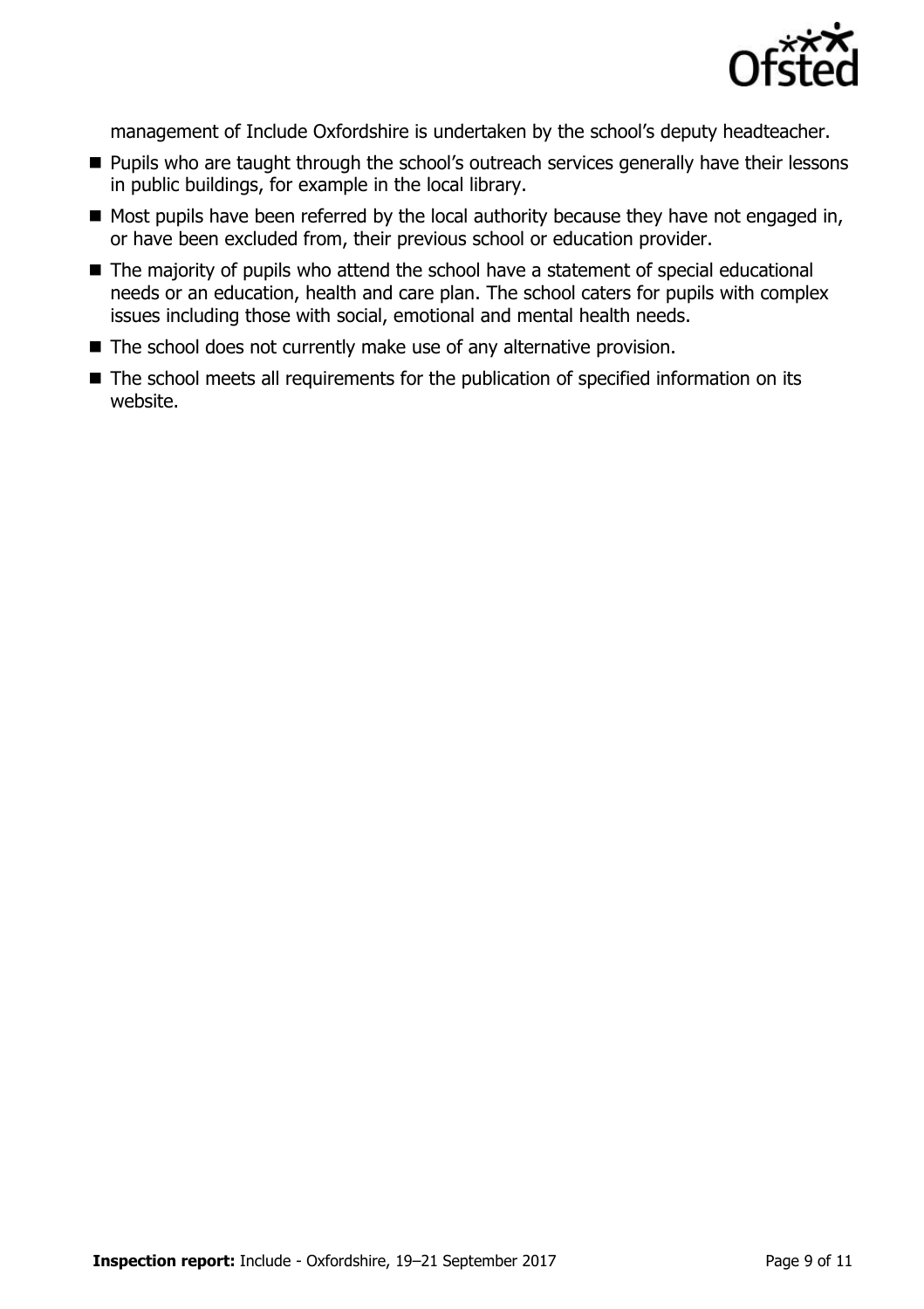

management of Include Oxfordshire is undertaken by the school's deputy headteacher.

- **Pupils who are taught through the school's outreach services generally have their lessons** in public buildings, for example in the local library.
- Most pupils have been referred by the local authority because they have not engaged in, or have been excluded from, their previous school or education provider.
- The majority of pupils who attend the school have a statement of special educational needs or an education, health and care plan. The school caters for pupils with complex issues including those with social, emotional and mental health needs.
- The school does not currently make use of any alternative provision.
- The school meets all requirements for the publication of specified information on its website.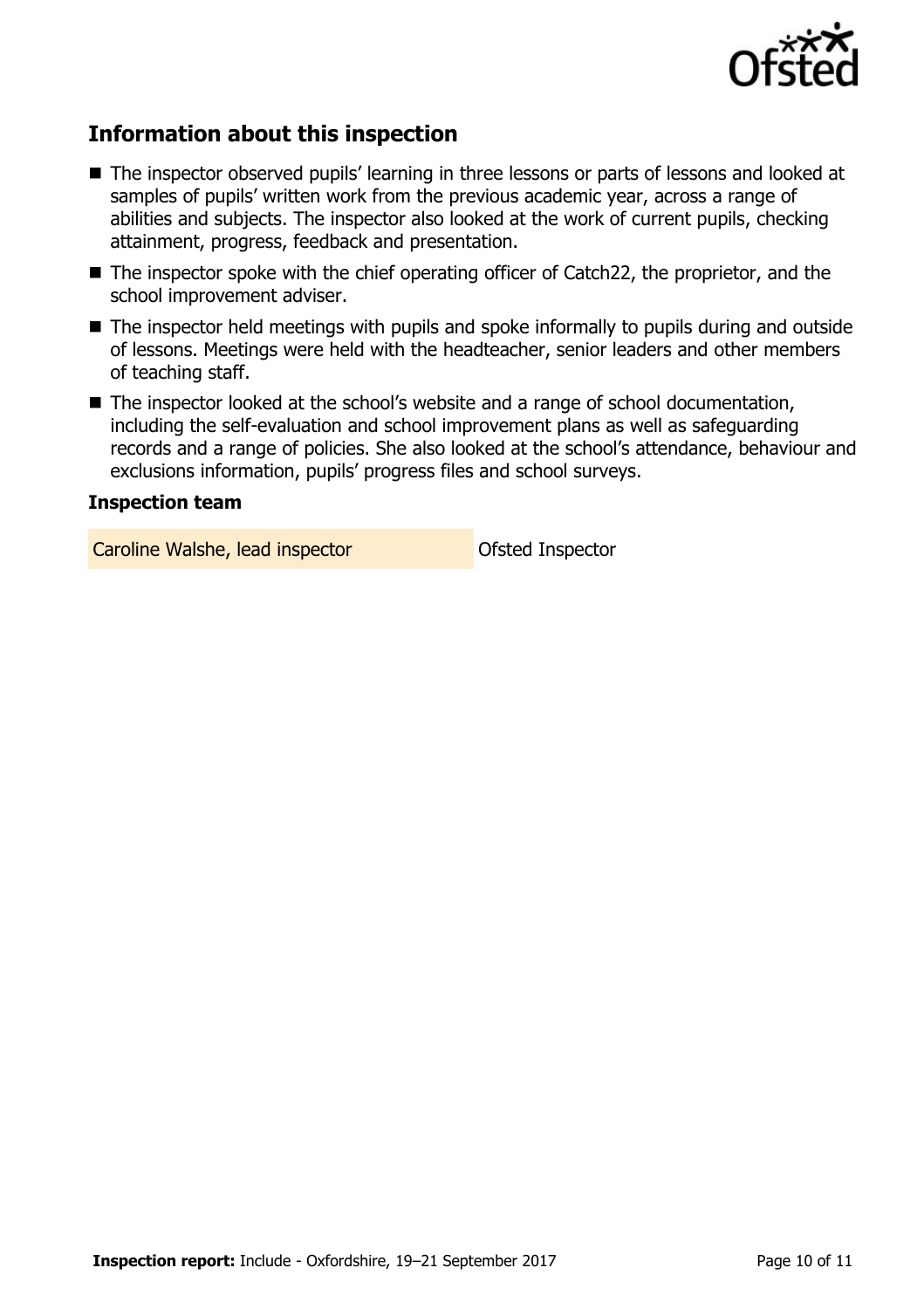

# **Information about this inspection**

- The inspector observed pupils' learning in three lessons or parts of lessons and looked at samples of pupils' written work from the previous academic year, across a range of abilities and subjects. The inspector also looked at the work of current pupils, checking attainment, progress, feedback and presentation.
- The inspector spoke with the chief operating officer of Catch22, the proprietor, and the school improvement adviser.
- The inspector held meetings with pupils and spoke informally to pupils during and outside of lessons. Meetings were held with the headteacher, senior leaders and other members of teaching staff.
- The inspector looked at the school's website and a range of school documentation, including the self-evaluation and school improvement plans as well as safeguarding records and a range of policies. She also looked at the school's attendance, behaviour and exclusions information, pupils' progress files and school surveys.

### **Inspection team**

Caroline Walshe, lead inspector **Caroline Walshe, lead inspector**